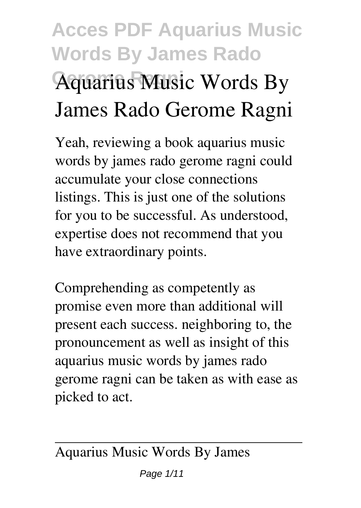# **Acces PDF Aquarius Music Words By James Rado Gerome Ragni Aquarius Music Words By James Rado Gerome Ragni**

Yeah, reviewing a book **aquarius music words by james rado gerome ragni** could accumulate your close connections listings. This is just one of the solutions for you to be successful. As understood, expertise does not recommend that you have extraordinary points.

Comprehending as competently as promise even more than additional will present each success. neighboring to, the pronouncement as well as insight of this aquarius music words by james rado gerome ragni can be taken as with ease as picked to act.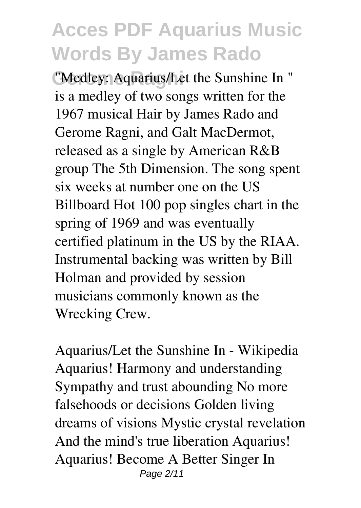**Wedley: Aquarius/Let the Sunshine In "** is a medley of two songs written for the 1967 musical Hair by James Rado and Gerome Ragni, and Galt MacDermot, released as a single by American R&B group The 5th Dimension. The song spent six weeks at number one on the US Billboard Hot 100 pop singles chart in the spring of 1969 and was eventually certified platinum in the US by the RIAA. Instrumental backing was written by Bill Holman and provided by session musicians commonly known as the Wrecking Crew.

**Aquarius/Let the Sunshine In - Wikipedia** Aquarius! Harmony and understanding Sympathy and trust abounding No more falsehoods or decisions Golden living dreams of visions Mystic crystal revelation And the mind's true liberation Aquarius! Aquarius! Become A Better Singer In Page 2/11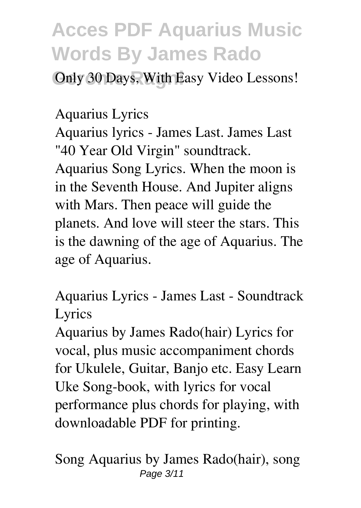**Only 30 Days, With Easy Video Lessons!** 

#### **Aquarius Lyrics**

Aquarius lyrics - James Last. James Last "40 Year Old Virgin" soundtrack. Aquarius Song Lyrics. When the moon is in the Seventh House. And Jupiter aligns with Mars. Then peace will guide the planets. And love will steer the stars. This is the dawning of the age of Aquarius. The age of Aquarius.

**Aquarius Lyrics - James Last - Soundtrack Lyrics**

Aquarius by James Rado(hair) Lyrics for vocal, plus music accompaniment chords for Ukulele, Guitar, Banjo etc. Easy Learn Uke Song-book, with lyrics for vocal performance plus chords for playing, with downloadable PDF for printing.

**Song Aquarius by James Rado(hair), song** Page 3/11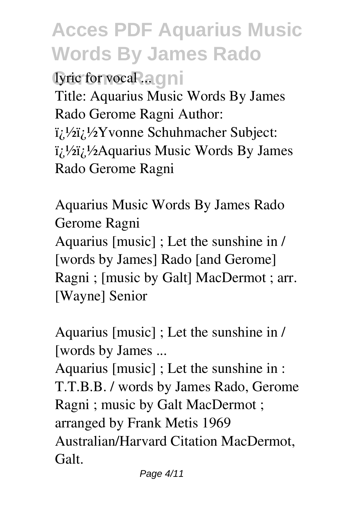**Iyric for vocal ... ani** 

Title: Aquarius Music Words By James Rado Gerome Ragni Author:

 $i/2$  $i/2$ Yvonne Schuhmacher Subject:  $i_L$ <sup>1</sup>/<sub>2</sub> $i_L$ <sup>1</sup>/<sub>2</sub>Aquarius Music Words By James Rado Gerome Ragni

**Aquarius Music Words By James Rado Gerome Ragni** Aquarius [music] ; Let the sunshine in / [words by James] Rado [and Gerome] Ragni ; [music by Galt] MacDermot ; arr. [Wayne] Senior

**Aquarius [music] ; Let the sunshine in / [words by James ...**

Aquarius [music] ; Let the sunshine in : T.T.B.B. / words by James Rado, Gerome Ragni ; music by Galt MacDermot ; arranged by Frank Metis 1969 Australian/Harvard Citation MacDermot, Galt.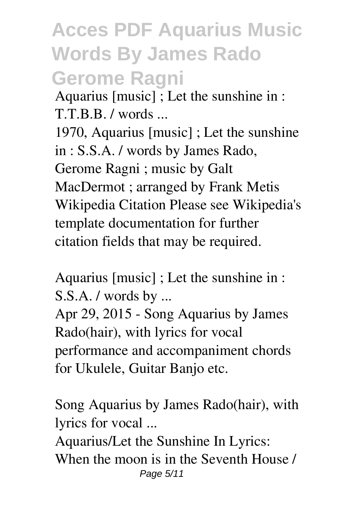#### **Acces PDF Aquarius Music Words By James Rado Gerome Ragni**

**Aquarius [music] ; Let the sunshine in : T.T.B.B. / words ...**

1970, Aquarius [music] ; Let the sunshine in : S.S.A. / words by James Rado, Gerome Ragni ; music by Galt MacDermot ; arranged by Frank Metis Wikipedia Citation Please see Wikipedia's template documentation for further citation fields that may be required.

**Aquarius [music] ; Let the sunshine in : S.S.A. / words by ...**

Apr 29, 2015 - Song Aquarius by James Rado(hair), with lyrics for vocal performance and accompaniment chords for Ukulele, Guitar Banjo etc.

**Song Aquarius by James Rado(hair), with lyrics for vocal ...**

Aquarius/Let the Sunshine In Lyrics: When the moon is in the Seventh House / Page 5/11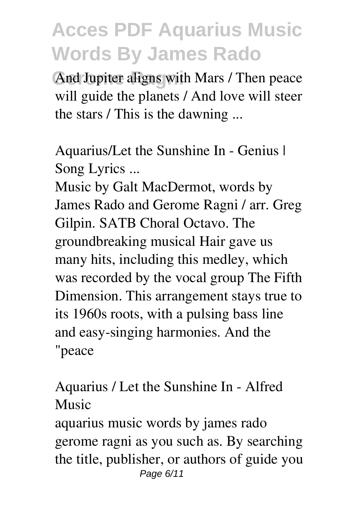And Jupiter aligns with Mars / Then peace will guide the planets / And love will steer the stars / This is the dawning ...

**Aquarius/Let the Sunshine In - Genius | Song Lyrics ...**

Music by Galt MacDermot, words by James Rado and Gerome Ragni / arr. Greg Gilpin. SATB Choral Octavo. The groundbreaking musical Hair gave us many hits, including this medley, which was recorded by the vocal group The Fifth Dimension. This arrangement stays true to its 1960s roots, with a pulsing bass line and easy-singing harmonies. And the "peace

**Aquarius / Let the Sunshine In - Alfred Music** aquarius music words by james rado gerome ragni as you such as. By searching the title, publisher, or authors of guide you Page 6/11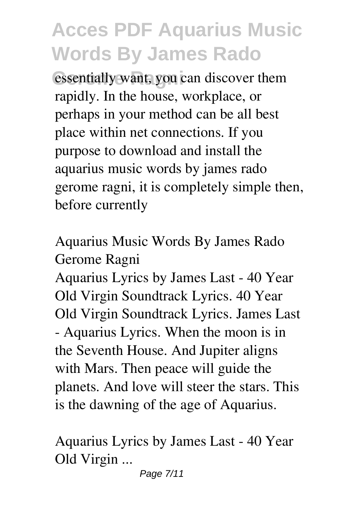essentially want, you can discover them rapidly. In the house, workplace, or perhaps in your method can be all best place within net connections. If you purpose to download and install the aquarius music words by james rado gerome ragni, it is completely simple then, before currently

**Aquarius Music Words By James Rado Gerome Ragni**

Aquarius Lyrics by James Last - 40 Year Old Virgin Soundtrack Lyrics. 40 Year Old Virgin Soundtrack Lyrics. James Last - Aquarius Lyrics. When the moon is in the Seventh House. And Jupiter aligns with Mars. Then peace will guide the planets. And love will steer the stars. This is the dawning of the age of Aquarius.

**Aquarius Lyrics by James Last - 40 Year Old Virgin ...**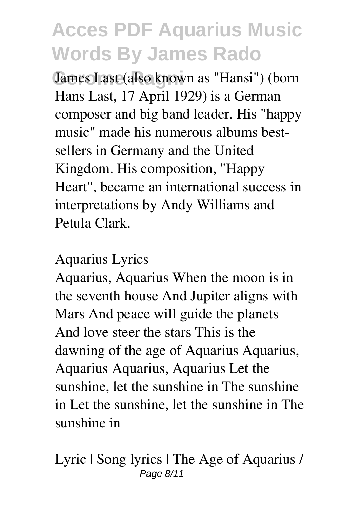James Last (also known as "Hansi") (born Hans Last, 17 April 1929) is a German composer and big band leader. His "happy music" made his numerous albums bestsellers in Germany and the United Kingdom. His composition, "Happy Heart", became an international success in interpretations by Andy Williams and Petula Clark.

#### **Aquarius Lyrics**

Aquarius, Aquarius When the moon is in the seventh house And Jupiter aligns with Mars And peace will guide the planets And love steer the stars This is the dawning of the age of Aquarius Aquarius, Aquarius Aquarius, Aquarius Let the sunshine, let the sunshine in The sunshine in Let the sunshine, let the sunshine in The sunshine in

**Lyric | Song lyrics | The Age of Aquarius /** Page 8/11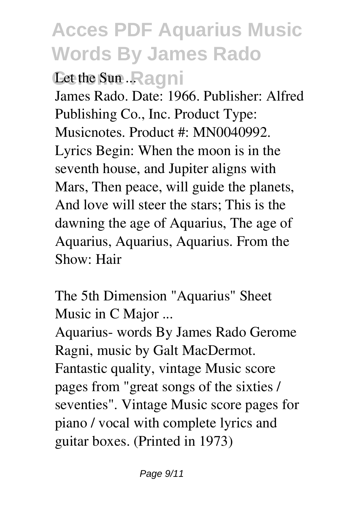**Let the Sun ...Ragni** 

James Rado. Date: 1966. Publisher: Alfred Publishing Co., Inc. Product Type: Musicnotes. Product #: MN0040992. Lyrics Begin: When the moon is in the seventh house, and Jupiter aligns with Mars, Then peace, will guide the planets, And love will steer the stars; This is the dawning the age of Aquarius, The age of Aquarius, Aquarius, Aquarius. From the Show: Hair

**The 5th Dimension "Aquarius" Sheet Music in C Major ...**

Aquarius- words By James Rado Gerome Ragni, music by Galt MacDermot. Fantastic quality, vintage Music score pages from "great songs of the sixties / seventies". Vintage Music score pages for piano / vocal with complete lyrics and guitar boxes. (Printed in 1973)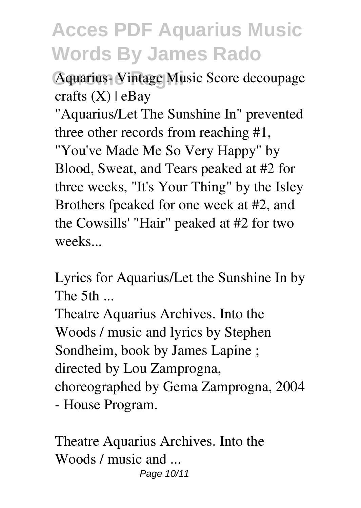**Gerome Ragni Aquarius- Vintage Music Score decoupage crafts (X) | eBay**

"Aquarius/Let The Sunshine In" prevented three other records from reaching #1,

"You've Made Me So Very Happy" by Blood, Sweat, and Tears peaked at #2 for three weeks, "It's Your Thing" by the Isley Brothers fpeaked for one week at #2, and the Cowsills' "Hair" peaked at #2 for two weeks

**Lyrics for Aquarius/Let the Sunshine In by The 5th ...**

Theatre Aquarius Archives. Into the Woods / music and lyrics by Stephen Sondheim, book by James Lapine ; directed by Lou Zamprogna, choreographed by Gema Zamprogna, 2004 - House Program.

**Theatre Aquarius Archives. Into the Woods / music and ...** Page 10/11